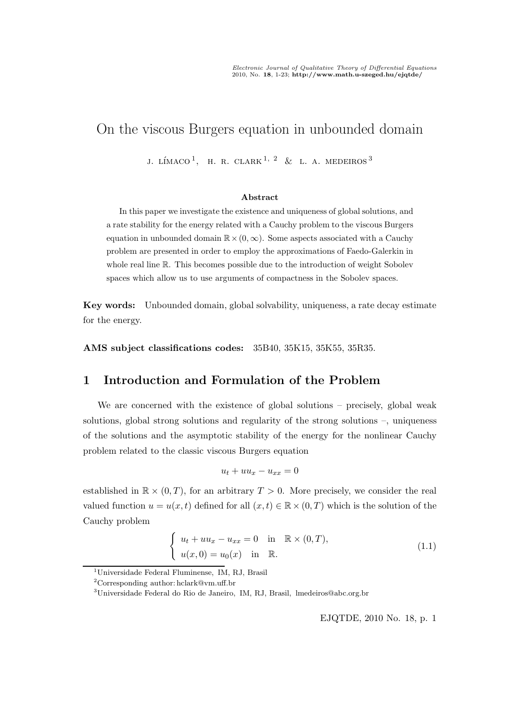# On the viscous Burgers equation in unbounded domain

J. LÍMACO $^1$ , H. R. CLARK $^1$ ,  $^2$  & L. A. MEDEIROS  $^3$ 

#### Abstract

In this paper we investigate the existence and uniqueness of global solutions, and a rate stability for the energy related with a Cauchy problem to the viscous Burgers equation in unbounded domain  $\mathbb{R} \times (0, \infty)$ . Some aspects associated with a Cauchy problem are presented in order to employ the approximations of Faedo-Galerkin in whole real line R. This becomes possible due to the introduction of weight Sobolev spaces which allow us to use arguments of compactness in the Sobolev spaces.

Key words: Unbounded domain, global solvability, uniqueness, a rate decay estimate for the energy.

AMS subject classifications codes: 35B40, 35K15, 35K55, 35R35.

# 1 Introduction and Formulation of the Problem

We are concerned with the existence of global solutions – precisely, global weak solutions, global strong solutions and regularity of the strong solutions –, uniqueness of the solutions and the asymptotic stability of the energy for the nonlinear Cauchy problem related to the classic viscous Burgers equation

$$
u_t + uu_x - u_{xx} = 0
$$

established in  $\mathbb{R} \times (0,T)$ , for an arbitrary  $T > 0$ . More precisely, we consider the real valued function  $u = u(x, t)$  defined for all  $(x, t) \in \mathbb{R} \times (0, T)$  which is the solution of the Cauchy problem

$$
\begin{cases}\n u_t + uu_x - u_{xx} = 0 & \text{in } \mathbb{R} \times (0, T), \\
 u(x, 0) = u_0(x) & \text{in } \mathbb{R}.\n\end{cases}
$$
\n(1.1)

<sup>1</sup>Universidade Federal Fluminense, IM, RJ, Brasil

<sup>2</sup>Corresponding author: hclark@vm.uff.br

<sup>3</sup>Universidade Federal do Rio de Janeiro, IM, RJ, Brasil, lmedeiros@abc.org.br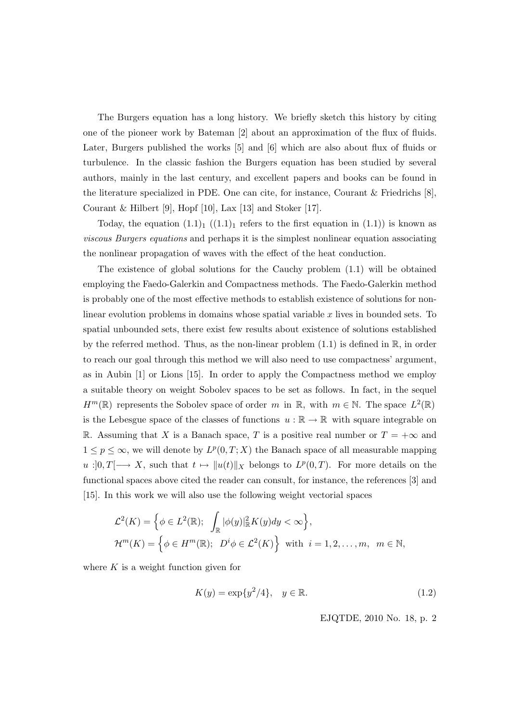The Burgers equation has a long history. We briefly sketch this history by citing one of the pioneer work by Bateman [2] about an approximation of the flux of fluids. Later, Burgers published the works [5] and [6] which are also about flux of fluids or turbulence. In the classic fashion the Burgers equation has been studied by several authors, mainly in the last century, and excellent papers and books can be found in the literature specialized in PDE. One can cite, for instance, Courant & Friedrichs [8], Courant & Hilbert [9], Hopf [10], Lax [13] and Stoker [17].

Today, the equation  $(1.1)<sub>1</sub>$   $((1.1)<sub>1</sub>$  refers to the first equation in  $(1.1)$ ) is known as viscous Burgers equations and perhaps it is the simplest nonlinear equation associating the nonlinear propagation of waves with the effect of the heat conduction.

The existence of global solutions for the Cauchy problem (1.1) will be obtained employing the Faedo-Galerkin and Compactness methods. The Faedo-Galerkin method is probably one of the most effective methods to establish existence of solutions for nonlinear evolution problems in domains whose spatial variable x lives in bounded sets. To spatial unbounded sets, there exist few results about existence of solutions established by the referred method. Thus, as the non-linear problem  $(1.1)$  is defined in  $\mathbb{R}$ , in order to reach our goal through this method we will also need to use compactness' argument, as in Aubin [1] or Lions [15]. In order to apply the Compactness method we employ a suitable theory on weight Sobolev spaces to be set as follows. In fact, in the sequel  $H^m(\mathbb{R})$  represents the Sobolev space of order m in  $\mathbb{R}$ , with  $m \in \mathbb{N}$ . The space  $L^2(\mathbb{R})$ is the Lebesgue space of the classes of functions  $u : \mathbb{R} \to \mathbb{R}$  with square integrable on R. Assuming that X is a Banach space, T is a positive real number or  $T = +\infty$  and  $1 \leq p \leq \infty$ , we will denote by  $L^p(0,T;X)$  the Banach space of all measurable mapping  $u:]0,T[\longrightarrow X,$  such that  $t \mapsto ||u(t)||_X$  belongs to  $L^p(0,T)$ . For more details on the functional spaces above cited the reader can consult, for instance, the references [3] and [15]. In this work we will also use the following weight vectorial spaces

$$
\mathcal{L}^{2}(K) = \left\{ \phi \in L^{2}(\mathbb{R}); \int_{\mathbb{R}} |\phi(y)|_{\mathbb{R}}^{2} K(y) dy < \infty \right\},\
$$
  

$$
\mathcal{H}^{m}(K) = \left\{ \phi \in H^{m}(\mathbb{R}); \ D^{i} \phi \in \mathcal{L}^{2}(K) \right\} \text{ with } i = 1, 2, ..., m, \ m \in \mathbb{N},
$$

where  $K$  is a weight function given for

$$
K(y) = \exp\{y^2/4\}, \quad y \in \mathbb{R}.\tag{1.2}
$$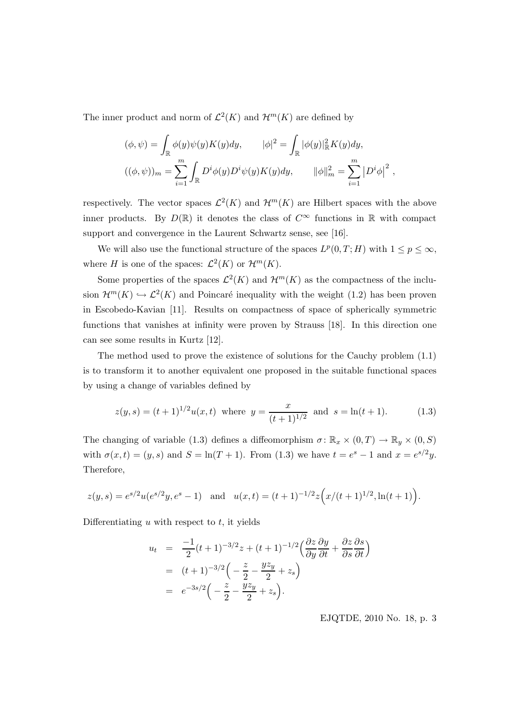The inner product and norm of  $\mathcal{L}^2(K)$  and  $\mathcal{H}^m(K)$  are defined by

$$
(\phi, \psi) = \int_{\mathbb{R}} \phi(y)\psi(y)K(y)dy, \qquad |\phi|^2 = \int_{\mathbb{R}} |\phi(y)|_{\mathbb{R}}^2 K(y)dy,
$$
  

$$
((\phi, \psi))_m = \sum_{i=1}^m \int_{\mathbb{R}} D^i \phi(y)D^i \psi(y)K(y)dy, \qquad ||\phi||_m^2 = \sum_{i=1}^m |D^i \phi|^2,
$$

respectively. The vector spaces  $\mathcal{L}^2(K)$  and  $\mathcal{H}^m(K)$  are Hilbert spaces with the above inner products. By  $D(\mathbb{R})$  it denotes the class of  $C^{\infty}$  functions in  $\mathbb R$  with compact support and convergence in the Laurent Schwartz sense, see [16].

We will also use the functional structure of the spaces  $L^p(0,T;H)$  with  $1 \leq p \leq \infty$ , where *H* is one of the spaces:  $\mathcal{L}^2(K)$  or  $\mathcal{H}^m(K)$ .

Some properties of the spaces  $\mathcal{L}^2(K)$  and  $\mathcal{H}^m(K)$  as the compactness of the inclusion  $\mathcal{H}^m(K) \hookrightarrow \mathcal{L}^2(K)$  and Poincaré inequality with the weight (1.2) has been proven in Escobedo-Kavian [11]. Results on compactness of space of spherically symmetric functions that vanishes at infinity were proven by Strauss [18]. In this direction one can see some results in Kurtz [12].

The method used to prove the existence of solutions for the Cauchy problem (1.1) is to transform it to another equivalent one proposed in the suitable functional spaces by using a change of variables defined by

$$
z(y,s) = (t+1)^{1/2}u(x,t) \text{ where } y = \frac{x}{(t+1)^{1/2}} \text{ and } s = \ln(t+1). \tag{1.3}
$$

The changing of variable (1.3) defines a diffeomorphism  $\sigma \colon \mathbb{R}_x \times (0,T) \to \mathbb{R}_y \times (0,S)$ with  $\sigma(x,t) = (y,s)$  and  $S = \ln(T+1)$ . From (1.3) we have  $t = e^s - 1$  and  $x = e^{s/2}y$ . Therefore,

$$
z(y,s) = e^{s/2}u(e^{s/2}y, e^s - 1) \text{ and } u(x,t) = (t+1)^{-1/2}z(x/(t+1)^{1/2}, \ln(t+1)).
$$

Differentiating  $u$  with respect to  $t$ , it yields

$$
u_t = \frac{-1}{2}(t+1)^{-3/2}z + (t+1)^{-1/2}\left(\frac{\partial z}{\partial y}\frac{\partial y}{\partial t} + \frac{\partial z}{\partial s}\frac{\partial s}{\partial t}\right)
$$
  
=  $(t+1)^{-3/2}\left(-\frac{z}{2} - \frac{yz}{2} + z_s\right)$   
=  $e^{-3s/2}\left(-\frac{z}{2} - \frac{yz}{2} + z_s\right).$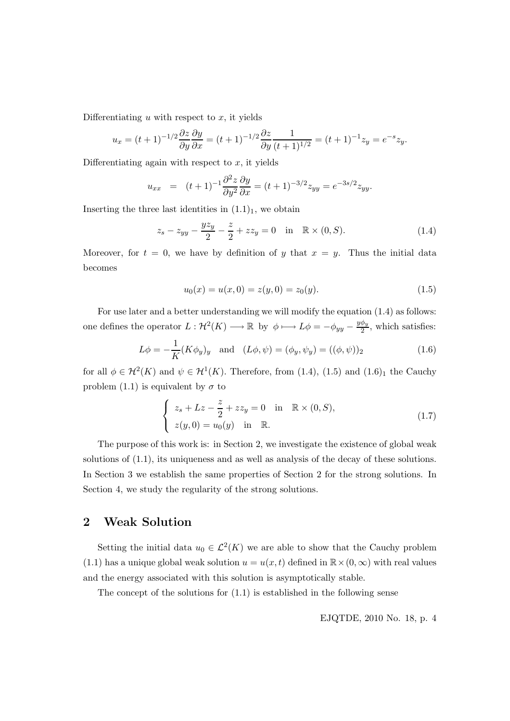Differentiating  $u$  with respect to  $x$ , it yields

$$
u_x = (t+1)^{-1/2} \frac{\partial z}{\partial y} \frac{\partial y}{\partial x} = (t+1)^{-1/2} \frac{\partial z}{\partial y} \frac{1}{(t+1)^{1/2}} = (t+1)^{-1} z_y = e^{-s} z_y.
$$

Differentiating again with respect to  $x$ , it yields

$$
u_{xx} = (t+1)^{-1} \frac{\partial^2 z}{\partial y^2} \frac{\partial y}{\partial x} = (t+1)^{-3/2} z_{yy} = e^{-3s/2} z_{yy}.
$$

Inserting the three last identities in  $(1.1)<sub>1</sub>$ , we obtain

$$
z_s - z_{yy} - \frac{yz_y}{2} - \frac{z}{2} + zz_y = 0 \quad \text{in} \quad \mathbb{R} \times (0, S). \tag{1.4}
$$

Moreover, for  $t = 0$ , we have by definition of y that  $x = y$ . Thus the initial data becomes

$$
u_0(x) = u(x,0) = z(y,0) = z_0(y). \tag{1.5}
$$

For use later and a better understanding we will modify the equation (1.4) as follows: one defines the operator  $L: \mathcal{H}^2(K) \longrightarrow \mathbb{R}$  by  $\phi \longmapsto L\phi = -\phi_{yy} - \frac{y\phi_y}{2}$  $\frac{\varphi_y}{2}$ , which satisfies:

$$
L\phi = -\frac{1}{K}(K\phi_y)_y \text{ and } (L\phi, \psi) = (\phi_y, \psi_y) = ((\phi, \psi))_2
$$
 (1.6)

for all  $\phi \in \mathcal{H}^2(K)$  and  $\psi \in \mathcal{H}^1(K)$ . Therefore, from (1.4), (1.5) and (1.6)<sub>1</sub> the Cauchy problem (1.1) is equivalent by  $\sigma$  to

$$
\begin{cases}\nz_s + Lz - \frac{z}{2} + zz_y = 0 & \text{in } \mathbb{R} \times (0, S), \\
z(y, 0) = u_0(y) & \text{in } \mathbb{R}.\n\end{cases}
$$
\n(1.7)

The purpose of this work is: in Section 2, we investigate the existence of global weak solutions of (1.1), its uniqueness and as well as analysis of the decay of these solutions. In Section 3 we establish the same properties of Section 2 for the strong solutions. In Section 4, we study the regularity of the strong solutions.

# 2 Weak Solution

Setting the initial data  $u_0 \in \mathcal{L}^2(K)$  we are able to show that the Cauchy problem (1.1) has a unique global weak solution  $u = u(x,t)$  defined in  $\mathbb{R} \times (0,\infty)$  with real values and the energy associated with this solution is asymptotically stable.

The concept of the solutions for (1.1) is established in the following sense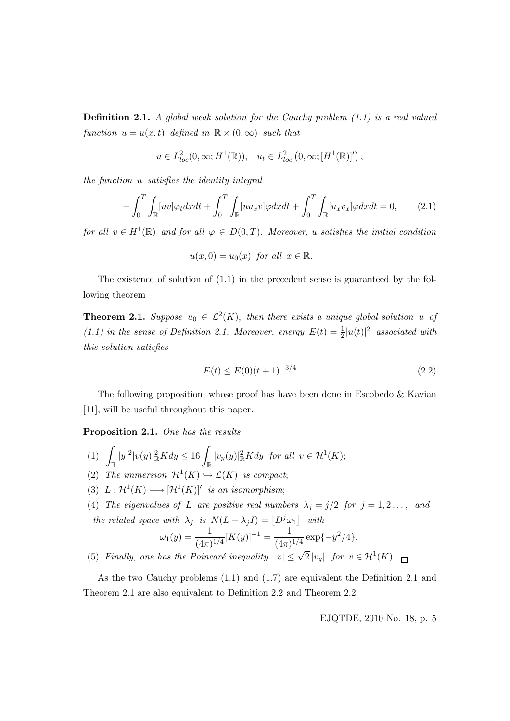**Definition 2.1.** A global weak solution for the Cauchy problem  $(1.1)$  is a real valued function  $u = u(x,t)$  defined in  $\mathbb{R} \times (0,\infty)$  such that

$$
u \in L^2_{loc}(0,\infty;H^1(\mathbb{R})), \quad u_t \in L^2_{loc}\left(0,\infty; [H^1(\mathbb{R})]'\right),
$$

the function u satisfies the identity integral

$$
-\int_0^T \int_{\mathbb{R}} [uv] \varphi_t dx dt + \int_0^T \int_{\mathbb{R}} [uu_x v] \varphi dx dt + \int_0^T \int_{\mathbb{R}} [u_x v_x] \varphi dx dt = 0, \qquad (2.1)
$$

for all  $v \in H^1(\mathbb{R})$  and for all  $\varphi \in D(0,T)$ . Moreover, u satisfies the initial condition

$$
u(x,0) = u_0(x) \text{ for all } x \in \mathbb{R}.
$$

The existence of solution of (1.1) in the precedent sense is guaranteed by the following theorem

**Theorem 2.1.** Suppose  $u_0 \in \mathcal{L}^2(K)$ , then there exists a unique global solution u of (1.1) in the sense of Definition 2.1. Moreover, energy  $E(t) = \frac{1}{2}|u(t)|^2$  associated with this solution satisfies

$$
E(t) \le E(0)(t+1)^{-3/4}.\tag{2.2}
$$

The following proposition, whose proof has have been done in Escobedo & Kavian [11], will be useful throughout this paper.

Proposition 2.1. One has the results

- $(1) \int_{\mathbb{R}} |y|^2 |v(y)|^2_{\mathbb{R}} K dy \leq 16 \int_{\mathbb{R}} |v_y(y)|^2_{\mathbb{R}} K dy$  for all  $v \in \mathcal{H}^1(K)$ ;
- (2) The immersion  $\mathcal{H}^1(K) \hookrightarrow \mathcal{L}(K)$  is compact;
- (3)  $L: \mathcal{H}^1(K) \longrightarrow [\mathcal{H}^1(K)]'$  is an isomorphism;
- (4) The eigenvalues of L are positive real numbers  $\lambda_j = j/2$  for  $j = 1, 2, \ldots,$  and the related space with  $\lambda_j$  is  $N(L - \lambda_j I) = [D^j \omega_1]$  with

$$
\omega_1(y) = \frac{1}{(4\pi)^{1/4}} [K(y)]^{-1} = \frac{1}{(4\pi)^{1/4}} \exp\{-y^2/4\}.
$$

(5) Finally, one has the Poincaré inequality  $|v| \leq \sqrt{2} |v_y|$  for  $v \in H^1(K)$ 

As the two Cauchy problems (1.1) and (1.7) are equivalent the Definition 2.1 and Theorem 2.1 are also equivalent to Definition 2.2 and Theorem 2.2.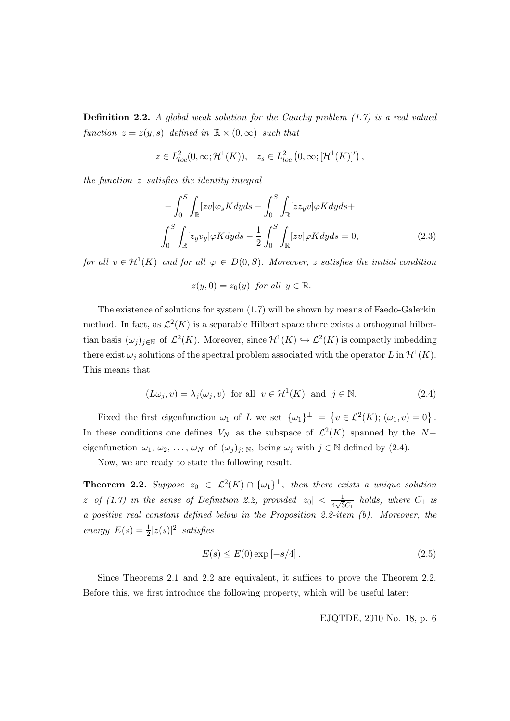**Definition 2.2.** A global weak solution for the Cauchy problem  $(1.7)$  is a real valued function  $z = z(y, s)$  defined in  $\mathbb{R} \times (0, \infty)$  such that

$$
z \in L^2_{loc}(0,\infty; \mathcal{H}^1(K)), \quad z_s \in L^2_{loc}\left(0,\infty; [\mathcal{H}^1(K)]'\right),
$$

the function z satisfies the identity integral

$$
-\int_{0}^{S} \int_{\mathbb{R}} [zv] \varphi_{s} K dy ds + \int_{0}^{S} \int_{\mathbb{R}} [z z_{y} v] \varphi K dy ds +
$$

$$
\int_{0}^{S} \int_{\mathbb{R}} [z_{y} v_{y}] \varphi K dy ds - \frac{1}{2} \int_{0}^{S} \int_{\mathbb{R}} [zv] \varphi K dy ds = 0, \qquad (2.3)
$$

for all  $v \in H^1(K)$  and for all  $\varphi \in D(0, S)$ . Moreover, z satisfies the initial condition

$$
z(y,0) = z_0(y) \text{ for all } y \in \mathbb{R}.
$$

The existence of solutions for system (1.7) will be shown by means of Faedo-Galerkin method. In fact, as  $\mathcal{L}^2(K)$  is a separable Hilbert space there exists a orthogonal hilbertian basis  $(\omega_j)_{j\in\mathbb{N}}$  of  $\mathcal{L}^2(K)$ . Moreover, since  $\mathcal{H}^1(K) \hookrightarrow \mathcal{L}^2(K)$  is compactly imbedding there exist  $\omega_j$  solutions of the spectral problem associated with the operator L in  $\mathcal{H}^1(K)$ . This means that

$$
(L\omega_j, v) = \lambda_j(\omega_j, v) \text{ for all } v \in \mathcal{H}^1(K) \text{ and } j \in \mathbb{N}.
$$
 (2.4)

Fixed the first eigenfunction  $\omega_1$  of L we set  $\{\omega_1\}^{\perp} = \{v \in \mathcal{L}^2(K); (\omega_1, v) = 0\}$ . In these conditions one defines  $V_N$  as the subspace of  $\mathcal{L}^2(K)$  spanned by the Neigenfunction  $\omega_1, \omega_2, \ldots, \omega_N$  of  $(\omega_j)_{j \in \mathbb{N}}$ , being  $\omega_j$  with  $j \in \mathbb{N}$  defined by  $(2.4)$ .

Now, we are ready to state the following result.

**Theorem 2.2.** Suppose  $z_0 \in L^2(K) \cap {\{\omega_1\}}^{\perp}$ , then there exists a unique solution z of  $(1.7)$  in the sense of Definition 2.2, provided  $|z_0| < \frac{1}{4\sqrt{3}}$  $\frac{1}{4\sqrt{3}C_1}$  holds, where  $C_1$  is a positive real constant defined below in the Proposition 2.2-item (b). Moreover, the energy  $E(s) = \frac{1}{2}|z(s)|^2$  satisfies

$$
E(s) \le E(0) \exp[-s/4].
$$
 (2.5)

Since Theorems 2.1 and 2.2 are equivalent, it suffices to prove the Theorem 2.2. Before this, we first introduce the following property, which will be useful later: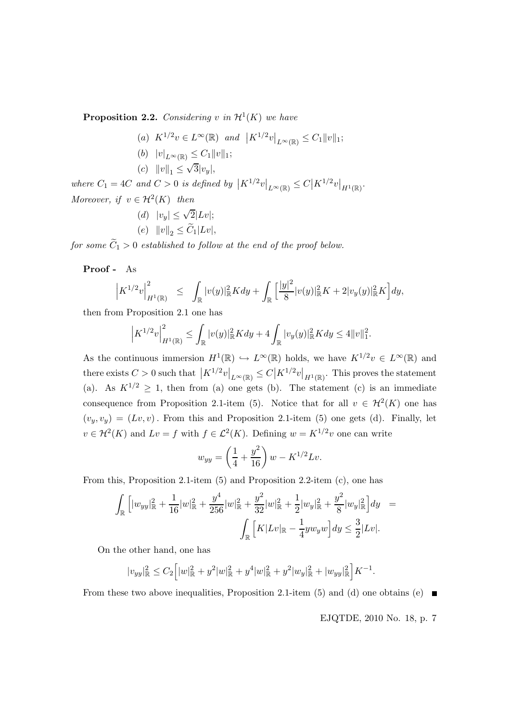**Proposition 2.2.** Considering v in  $\mathcal{H}^1(K)$  we have

- (a)  $K^{1/2}v \in L^{\infty}(\mathbb{R})$  and  $|K^{1/2}v|_{L^{\infty}(\mathbb{R})} \leq C_1 ||v||_1;$
- (b)  $|v|_{L^{\infty}(\mathbb{R})} \leq C_1 ||v||_1;$
- (c)  $||v||_1 \leq \sqrt{3}|v_y|,$

where  $C_1 = 4C$  and  $C > 0$  is defined by  $\left| K^{1/2} v \right|_{L^{\infty}(\mathbb{R})} \leq C \left| K^{1/2} v \right|_{H^1(\mathbb{R})}$ . Moreover, if  $v \in H^2(K)$  then

(d) 
$$
|v_y| \le \sqrt{2}|Lv|
$$

(e)  $||v||_2 \leq C_1 |Lv|,$ 

for some  $\widetilde{C}_1 > 0$  established to follow at the end of the proof below.

Proof - As

$$
\left|K^{1/2}v\right|_{H^1(\mathbb{R})}^2 \leq \int_{\mathbb{R}} |v(y)|^2_{\mathbb{R}}Kdy + \int_{\mathbb{R}} \left[\frac{|y|^2}{8}|v(y)|^2_{\mathbb{R}}K + 2|v_y(y)|^2_{\mathbb{R}}K\right]dy,
$$

then from Proposition 2.1 one has

$$
\left|K^{1/2}v\right|_{H^1(\mathbb{R})}^2 \leq \int_{\mathbb{R}} |v(y)|_{\mathbb{R}}^2 K dy + 4 \int_{\mathbb{R}} |v_y(y)|_{\mathbb{R}}^2 K dy \leq 4||v||_1^2.
$$

As the continuous immersion  $H^1(\mathbb{R}) \hookrightarrow L^{\infty}(\mathbb{R})$  holds, we have  $K^{1/2}v \in L^{\infty}(\mathbb{R})$  and there exists  $C > 0$  such that  $|K^{1/2}v|_{L^{\infty}(\mathbb{R})} \leq C |K^{1/2}v|_{H^{1}(\mathbb{R})}$ . This proves the statement (a). As  $K^{1/2} \geq 1$ , then from (a) one gets (b). The statement (c) is an immediate consequence from Proposition 2.1-item (5). Notice that for all  $v \in H^2(K)$  one has  $(v_y,v_y) = (Lv,v)$ . From this and Proposition 2.1-item (5) one gets (d). Finally, let  $v \in \mathcal{H}^2(K)$  and  $Lv = f$  with  $f \in \mathcal{L}^2(K)$ . Defining  $w = K^{1/2}v$  one can write

$$
w_{yy} = \left(\frac{1}{4} + \frac{y^2}{16}\right)w - K^{1/2}Lv.
$$

From this, Proposition 2.1-item (5) and Proposition 2.2-item (c), one has

$$
\int_{\mathbb{R}} \left[ |w_{yy}|_{\mathbb{R}}^2 + \frac{1}{16}|w|_{\mathbb{R}}^2 + \frac{y^4}{256}|w|_{\mathbb{R}}^2 + \frac{y^2}{32}|w|_{\mathbb{R}}^2 + \frac{1}{2}|w_y|_{\mathbb{R}}^2 + \frac{y^2}{8}|w_y|_{\mathbb{R}}^2 \right] dy =
$$

$$
\int_{\mathbb{R}} \left[ K|Lv|_{\mathbb{R}} - \frac{1}{4} y w_y w \right] dy \le \frac{3}{2} |Lv|.
$$

On the other hand, one has

$$
|v_{yy}|_{\mathbb{R}}^2 \leq C_2 \Big[ |w|_{\mathbb{R}}^2 + y^2|w|_{\mathbb{R}}^2 + y^4|w|_{\mathbb{R}}^2 + y^2|w_y|_{\mathbb{R}}^2 + |w_{yy}|_{\mathbb{R}}^2 \Big] K^{-1}.
$$

From these two above inequalities, Proposition 2.1-item (5) and (d) one obtains (e)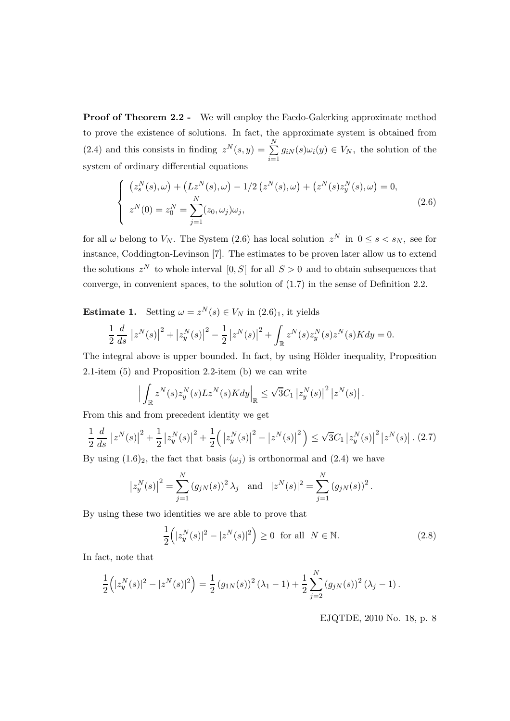**Proof of Theorem 2.2 -** We will employ the Faedo-Galerking approximate method to prove the existence of solutions. In fact, the approximate system is obtained from (2.4) and this consists in finding  $z^N(s, y) = \sum_{i=1}^N$  $\sum_{i=1}^{\infty} g_{iN}(s) \omega_i(y) \in V_N$ , the solution of the system of ordinary differential equations

$$
\begin{cases}\n\left(z_s^N(s), \omega\right) + \left(Lz^N(s), \omega\right) - 1/2\left(z^N(s), \omega\right) + \left(z^N(s)z_y^N(s), \omega\right) = 0, \\
z^N(0) = z_0^N = \sum_{j=1}^N (z_0, \omega_j)\omega_j,\n\end{cases} \tag{2.6}
$$

for all  $\omega$  belong to  $V_N$ . The System (2.6) has local solution  $z^N$  in  $0 \le s \le s_N$ , see for instance, Coddington-Levinson [7]. The estimates to be proven later allow us to extend the solutions  $z^N$  to whole interval  $[0, S]$  for all  $S > 0$  and to obtain subsequences that converge, in convenient spaces, to the solution of (1.7) in the sense of Definition 2.2.

**Estimate 1.** Setting  $\omega = z^N(s) \in V_N$  in  $(2.6)_1$ , it yields 1 2 d ds  $\left|z^N(s)\right|^2+\left|z^N_y(s)\right|^2$ − 1 2  $\left|z^N(s)\right|^2 +$ Z  $\int_{\mathbb{R}}z^N(s)z^N_y(s)z^N(s)Kdy=0.$ 

The integral above is upper bounded. In fact, by using Hölder inequality, Proposition 2.1-item (5) and Proposition 2.2-item (b) we can write

$$
\left| \int_{\mathbb{R}} z^N(s) z_y^N(s) L z^N(s) K dy \right|_{\mathbb{R}} \leq \sqrt{3} C_1 \left| z_y^N(s) \right|^2 \left| z^N(s) \right|.
$$

From this and from precedent identity we get

$$
\frac{1}{2}\frac{d}{ds}\left|z^N(s)\right|^2 + \frac{1}{2}\left|z_y^N(s)\right|^2 + \frac{1}{2}\left(\left|z_y^N(s)\right|^2 - \left|z^N(s)\right|^2\right) \le \sqrt{3}C_1\left|z_y^N(s)\right|^2\left|z^N(s)\right|. \tag{2.7}
$$

By using  $(1.6)_2$ , the fact that basis  $(\omega_i)$  is orthonormal and  $(2.4)$  we have

$$
|z_y^N(s)|^2 = \sum_{j=1}^N (g_{jN}(s))^2 \lambda_j
$$
 and  $|z^N(s)|^2 = \sum_{j=1}^N (g_{jN}(s))^2$ .

By using these two identities we are able to prove that

$$
\frac{1}{2} (|z_y^N(s)|^2 - |z^N(s)|^2) \ge 0 \text{ for all } N \in \mathbb{N}.
$$
 (2.8)

In fact, note that

$$
\frac{1}{2} (|z_y^N(s)|^2 - |z^N(s)|^2) = \frac{1}{2} (g_{1N}(s))^2 (\lambda_1 - 1) + \frac{1}{2} \sum_{j=2}^N (g_{jN}(s))^2 (\lambda_j - 1).
$$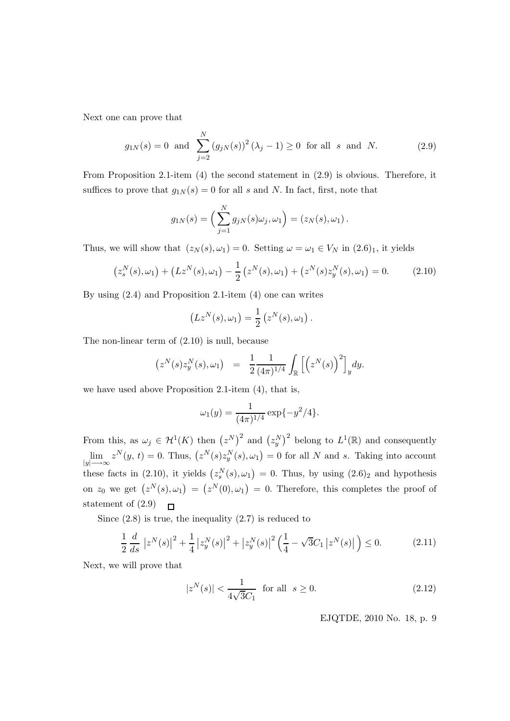Next one can prove that

$$
g_{1N}(s) = 0
$$
 and  $\sum_{j=2}^{N} (g_{jN}(s))^2 (\lambda_j - 1) \ge 0$  for all s and N. (2.9)

From Proposition 2.1-item (4) the second statement in (2.9) is obvious. Therefore, it suffices to prove that  $g_{1N}(s) = 0$  for all s and N. In fact, first, note that

$$
g_{1N}(s) = \left(\sum_{j=1}^{N} g_{jN}(s)\omega_j, \omega_1\right) = (z_N(s), \omega_1).
$$

Thus, we will show that  $(z_N(s), \omega_1) = 0$ . Setting  $\omega = \omega_1 \in V_N$  in  $(2.6)_1$ , it yields

$$
(z_s^N(s), \omega_1) + (Lz^N(s), \omega_1) - \frac{1}{2} (z^N(s), \omega_1) + (z^N(s)z_y^N(s), \omega_1) = 0.
$$
 (2.10)

By using (2.4) and Proposition 2.1-item (4) one can writes

$$
(Lz^N(s), \omega_1) = \frac{1}{2} (z^N(s), \omega_1).
$$

The non-linear term of (2.10) is null, because

$$
(z^N(s)z_y^N(s), \omega_1) = \frac{1}{2} \frac{1}{(4\pi)^{1/4}} \int_{\mathbb{R}} \left[ \left( z^N(s) \right)^2 \right]_y dy.
$$

we have used above Proposition 2.1-item (4), that is,

$$
\omega_1(y) = \frac{1}{(4\pi)^{1/4}} \exp\{-y^2/4\}.
$$

From this, as  $\omega_j \in H^1(K)$  then  $(z^N)^2$  and  $(z^N_y)^2$  belong to  $L^1(\mathbb{R})$  and consequently  $z^N(y, t) = 0$ . Thus,  $(z^N(s)z_y^N(s), \omega_1) = 0$  for all N and s. Taking into account lim  $|y| \longrightarrow \infty$ these facts in (2.10), it yields  $(z_s^N(s), \omega_1) = 0$ . Thus, by using  $(2.6)_2$  and hypothesis on  $z_0$  we get  $(z^N(s), \omega_1) = (z^N(0), \omega_1) = 0$ . Therefore, this completes the proof of statement of (2.9)  $\mathsf{r}$ 

Since  $(2.8)$  is true, the inequality  $(2.7)$  is reduced to

$$
\frac{1}{2}\frac{d}{ds}\left|z^N(s)\right|^2 + \frac{1}{4}\left|z_y^N(s)\right|^2 + \left|z_y^N(s)\right|^2 \left(\frac{1}{4} - \sqrt{3}C_1\left|z^N(s)\right|\right) \le 0. \tag{2.11}
$$

Next, we will prove that

$$
|z^N(s)| < \frac{1}{4\sqrt{3}C_1} \quad \text{for all} \quad s \ge 0. \tag{2.12}
$$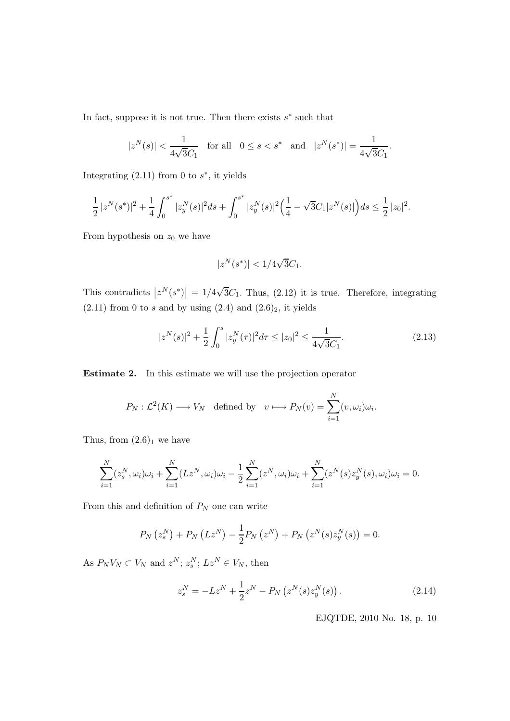In fact, suppose it is not true. Then there exists  $s^*$  such that

$$
|z^N(s)| < \frac{1}{4\sqrt{3}C_1}
$$
 for all  $0 \le s < s^*$  and  $|z^N(s^*)| = \frac{1}{4\sqrt{3}C_1}$ .

Integrating  $(2.11)$  from 0 to  $s^*$ , it yields

$$
\frac{1}{2} |z^N(s^*)|^2 + \frac{1}{4} \int_0^{s^*} |z_y^N(s)|^2 ds + \int_0^{s^*} |z_y^N(s)|^2 \Big( \frac{1}{4} - \sqrt{3}C_1 |z^N(s)| \Big) ds \leq \frac{1}{2} |z_0|^2.
$$

From hypothesis on  $z_0$  we have

$$
|z^N(s^*)| < 1/4\sqrt{3}C_1.
$$

This contradicts  $|z^N(s^*)| = 1/4\sqrt{3}C_1$ . Thus, (2.12) it is true. Therefore, integrating  $(2.11)$  from 0 to s and by using  $(2.4)$  and  $(2.6)_2$ , it yields

$$
|z^N(s)|^2 + \frac{1}{2} \int_0^s |z_y^N(\tau)|^2 d\tau \le |z_0|^2 \le \frac{1}{4\sqrt{3}C_1}.\tag{2.13}
$$

Estimate 2. In this estimate we will use the projection operator

$$
P_N: \mathcal{L}^2(K) \longrightarrow V_N
$$
 defined by  $v \longmapsto P_N(v) = \sum_{i=1}^N (v, \omega_i) \omega_i$ .

Thus, from  $(2.6)_1$  we have

$$
\sum_{i=1}^{N} (z_s^N, \omega_i) \omega_i + \sum_{i=1}^{N} (L z^N, \omega_i) \omega_i - \frac{1}{2} \sum_{i=1}^{N} (z^N, \omega_i) \omega_i + \sum_{i=1}^{N} (z^N(s) z_y^N(s), \omega_i) \omega_i = 0.
$$

From this and definition of  $\mathcal{P}_N$  one can write

$$
P_N(z_s^N) + P_N(Lz^N) - \frac{1}{2} P_N(z^N) + P_N(z^N(s)z_y^N(s)) = 0.
$$

As  $P_N V_N \subset V_N$  and  $z^N$ ;  $z_s^N$ ;  $Lz^N \in V_N$ , then

$$
z_s^N = -Lz^N + \frac{1}{2}z^N - P_N(z^N(s)z_y^N(s)).
$$
\n(2.14)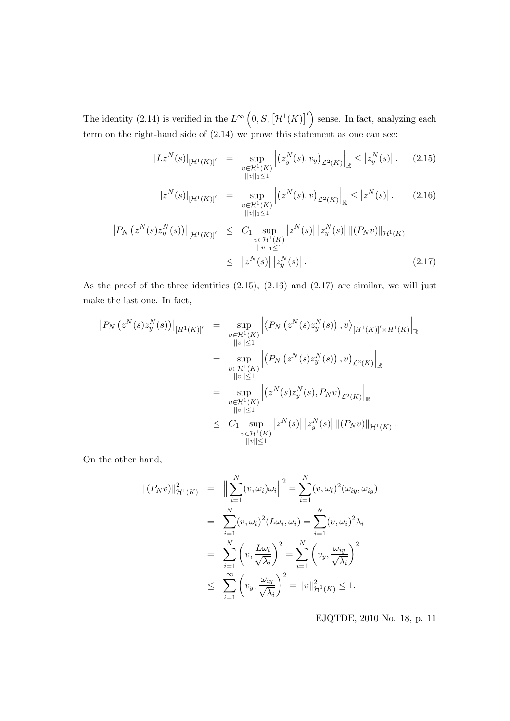The identity (2.14) is verified in the  $L^{\infty}\left(0, S; \left[\mathcal{H}^1(K)\right]^{\prime}\right)$  sense. In fact, analyzing each term on the right-hand side of (2.14) we prove this statement as one can see:

$$
|Lz^N(s)|_{[\mathcal{H}^1(K)]'} = \sup_{\substack{v \in \mathcal{H}^1(K) \\ ||v||_1 \le 1}} \left| \left( z_y^N(s), v_y \right)_{\mathcal{L}^2(K)} \right|_{\mathbb{R}} \le |z_y^N(s)|. \tag{2.15}
$$

$$
|z^{N}(s)|_{[\mathcal{H}^{1}(K)]'} = \sup_{\substack{v \in \mathcal{H}^{1}(K) \\ ||v||_{1} \le 1}} \left| \left( z^{N}(s), v \right)_{\mathcal{L}^{2}(K)} \right|_{\mathbb{R}} \le |z^{N}(s)|. \tag{2.16}
$$
  

$$
|P_{N} \left( z^{N}(s) z_{y}^{N}(s) \right) \Big|_{[\mathcal{H}^{1}(K)]'} \le C_{1} \sup_{\substack{v \in \mathcal{H}^{1}(K) \\ ||v||_{1} \le 1}} \left| z^{N}(s) \right| \left| z_{y}^{N}(s) \right| \left\| (P_{N}v) \right\|_{\mathcal{H}^{1}(K)}
$$

$$
\leq \quad \left| z^N(s) \right| \left| z_y^N(s) \right| \,. \tag{2.17}
$$

As the proof of the three identities  $(2.15)$ ,  $(2.16)$  and  $(2.17)$  are similar, we will just make the last one. In fact,

$$
\begin{split}\n\left|P_{N}\left(z^{N}(s)z_{y}^{N}(s)\right)\right|_{[H^{1}(K)]'} &= \sup_{\substack{v\in\mathcal{H}^{1}(K) \\ ||v||\leq 1}} \left|\left\langle P_{N}\left(z^{N}(s)z_{y}^{N}(s)\right), v\right\rangle_{[H^{1}(K)]'\times H^{1}(K)}\right|_{\mathbb{R}} \\
&= \sup_{\substack{v\in\mathcal{H}^{1}(K) \\ ||v||\leq 1}} \left|\left(P_{N}\left(z^{N}(s)z_{y}^{N}(s)\right), v\right)_{\mathcal{L}^{2}(K)}\right|_{\mathbb{R}} \\
&= \sup_{\substack{v\in\mathcal{H}^{1}(K) \\ ||v||\leq 1}} \left|\left(z^{N}(s)z_{y}^{N}(s), P_{N}v\right)_{\mathcal{L}^{2}(K)}\right|_{\mathbb{R}} \\
&\leq C_{1} \sup_{\substack{v\in\mathcal{H}^{1}(K) \\ ||v||\leq 1}} \left|z^{N}(s)\right| \left|z_{y}^{N}(s)\right| \left\|(P_{N}v)\right\|_{\mathcal{H}^{1}(K)}.\n\end{split}
$$

On the other hand,

$$
\begin{aligned}\n\|(P_N v)\|_{\mathcal{H}^1(K)}^2 &= \left\|\sum_{i=1}^N (v, \omega_i)\omega_i\right\|^2 = \sum_{i=1}^N (v, \omega_i)^2 (\omega_{iy}, \omega_{iy}) \\
&= \sum_{i=1}^N (v, \omega_i)^2 (L\omega_i, \omega_i) = \sum_{i=1}^N (v, \omega_i)^2 \lambda_i \\
&= \sum_{i=1}^N \left(v, \frac{L\omega_i}{\sqrt{\lambda_i}}\right)^2 = \sum_{i=1}^N \left(v_y, \frac{\omega_{iy}}{\sqrt{\lambda_i}}\right)^2 \\
&\le \sum_{i=1}^\infty \left(v_y, \frac{\omega_{iy}}{\sqrt{\lambda_i}}\right)^2 = \|v\|_{\mathcal{H}^1(K)}^2 \le 1.\n\end{aligned}
$$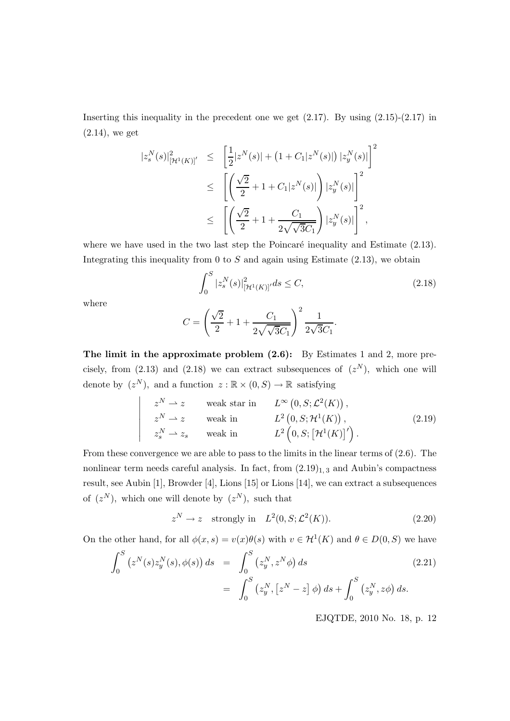Inserting this inequality in the precedent one we get  $(2.17)$ . By using  $(2.15)-(2.17)$  in (2.14), we get

$$
\begin{split} |z_s^N(s)|^2_{[\mathcal{H}^1(K)]'} &\leq \quad \left[\frac{1}{2}|z^N(s)| + \left(1 + C_1|z^N(s)|\right)|z_y^N(s)|\right]^2 \\ &\leq \quad \left[\left(\frac{\sqrt{2}}{2} + 1 + C_1|z^N(s)|\right)|z_y^N(s)|\right]^2 \\ &\leq \quad \left[\left(\frac{\sqrt{2}}{2} + 1 + \frac{C_1}{2\sqrt{\sqrt{3}C_1}}\right)|z_y^N(s)|\right]^2, \end{split}
$$

where we have used in the two last step the Poincaré inequality and Estimate  $(2.13)$ . Integrating this inequality from 0 to  $S$  and again using Estimate (2.13), we obtain

$$
\int_{0}^{S} |z_{s}^{N}(s)|_{\left[\mathcal{H}^{1}(K)\right]'}^{2} ds \le C,
$$
\n(2.18)

where

$$
C = \left(\frac{\sqrt{2}}{2} + 1 + \frac{C_1}{2\sqrt{\sqrt{3}C_1}}\right)^2 \frac{1}{2\sqrt{3}C_1}.
$$

The limit in the approximate problem  $(2.6)$ : By Estimates 1 and 2, more precisely, from  $(2.13)$  and  $(2.18)$  we can extract subsequences of  $(z<sup>N</sup>)$ , which one will denote by  $(z^N)$ , and a function  $z : \mathbb{R} \times (0, S) \to \mathbb{R}$  satisfying

$$
\begin{vmatrix}\nz^N \rightharpoonup z & \text{weak star in} & L^\infty(0, S; \mathcal{L}^2(K)), \\
z^N \rightharpoonup z & \text{weak in} & L^2(0, S; \mathcal{H}^1(K)), \\
z^N_s \rightharpoonup z_s & \text{weak in} & L^2(0, S; [\mathcal{H}^1(K)]')\n\end{vmatrix}.
$$
\n
$$
(2.19)
$$

From these convergence we are able to pass to the limits in the linear terms of (2.6). The nonlinear term needs careful analysis. In fact, from  $(2.19)_{1,3}$  and Aubin's compactness result, see Aubin [1], Browder [4], Lions [15] or Lions [14], we can extract a subsequences of  $(z^N)$ , which one will denote by  $(z^N)$ , such that

$$
zN \to z \quad \text{strongly in} \quad L2(0, S; \mathcal{L}2(K)).
$$
 (2.20)

On the other hand, for all  $\phi(x,s) = v(x)\theta(s)$  with  $v \in \mathcal{H}^1(K)$  and  $\theta \in D(0, S)$  we have

$$
\int_{0}^{S} (z^{N}(s)z_{y}^{N}(s), \phi(s)) ds = \int_{0}^{S} (z_{y}^{N}, z^{N}\phi) ds
$$
\n
$$
= \int_{0}^{S} (z_{y}^{N}, [z^{N} - z] \phi) ds + \int_{0}^{S} (z_{y}^{N}, z\phi) ds.
$$
\n(2.21)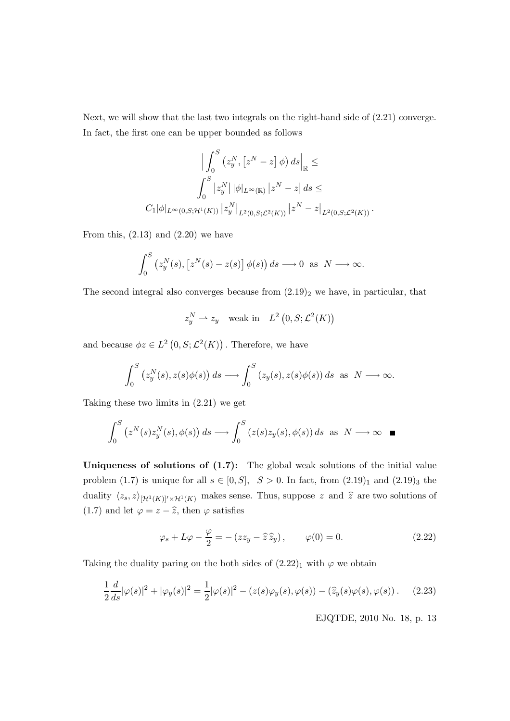Next, we will show that the last two integrals on the right-hand side of (2.21) converge. In fact, the first one can be upper bounded as follows

$$
\left| \int_0^S \left( z_y^N , \left[ z^N - z \right] \phi \right) ds \right|_{\mathbb{R}} \le
$$
  

$$
\int_0^S |z_y^N| |\phi|_{L^{\infty}(\mathbb{R})} |z^N - z| ds \le
$$
  

$$
C_1 |\phi|_{L^{\infty}(0, S; \mathcal{H}^1(K))} |z_y^N|_{L^2(0, S; \mathcal{L}^2(K))} |z^N - z|_{L^2(0, S; \mathcal{L}^2(K))}.
$$

From this,  $(2.13)$  and  $(2.20)$  we have

$$
\int_0^S \left( z_y^N(s), \left[ z^N(s) - z(s) \right] \phi(s) \right) ds \longrightarrow 0 \text{ as } N \longrightarrow \infty.
$$

The second integral also converges because from  $(2.19)_2$  we have, in particular, that

$$
z_y^N \rightharpoonup z_y
$$
 weak in  $L^2(0, S; \mathcal{L}^2(K))$ 

and because  $\phi z \in L^2(0, S; \mathcal{L}^2(K))$ . Therefore, we have

$$
\int_0^S \left( z_y^N(s), z(s)\phi(s) \right) ds \longrightarrow \int_0^S \left( z_y(s), z(s)\phi(s) \right) ds \text{ as } N \longrightarrow \infty.
$$

Taking these two limits in (2.21) we get

$$
\int_0^S \left( z^N(s) z_y^N(s), \phi(s) \right) ds \longrightarrow \int_0^S \left( z(s) z_y(s), \phi(s) \right) ds \text{ as } N \longrightarrow \infty \quad \blacksquare
$$

Uniqueness of solutions of  $(1.7)$ : The global weak solutions of the initial value problem (1.7) is unique for all  $s \in [0, S]$ ,  $S > 0$ . In fact, from  $(2.19)_1$  and  $(2.19)_3$  the duality  $\langle z_s, z \rangle_{\left[\mathcal{H}^1(K)\right]'\times\mathcal{H}^1(K)}$  makes sense. Thus, suppose z and  $\hat{z}$  are two solutions of (1.7) and let  $\varphi = z - \hat{z}$ , then  $\varphi$  satisfies

$$
\varphi_s + L\varphi - \frac{\varphi}{2} = -(zz_y - \hat{z}\hat{z}_y), \qquad \varphi(0) = 0.
$$
 (2.22)

Taking the duality paring on the both sides of  $(2.22)_1$  with  $\varphi$  we obtain

$$
\frac{1}{2}\frac{d}{ds}|\varphi(s)|^2 + |\varphi_y(s)|^2 = \frac{1}{2}|\varphi(s)|^2 - (z(s)\varphi_y(s), \varphi(s)) - (\widehat{z}_y(s)\varphi(s), \varphi(s)).
$$
 (2.23)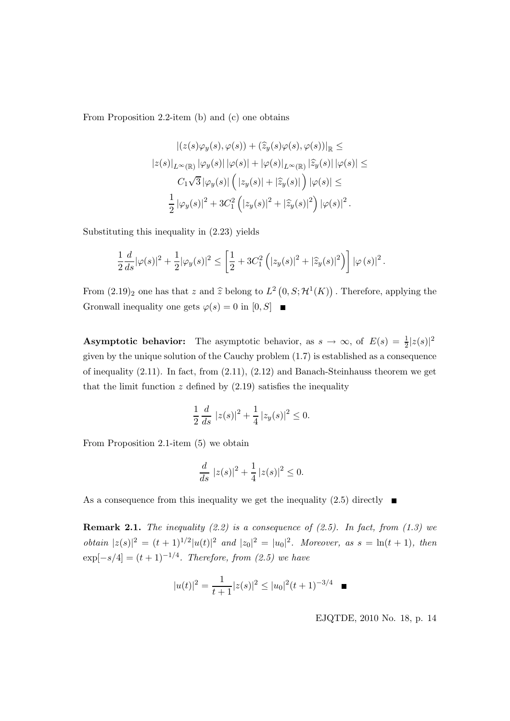From Proposition 2.2-item (b) and (c) one obtains

$$
\begin{split} \left| \left( z(s) \varphi_y(s), \varphi(s) \right) + \left( \widehat{z}_y(s) \varphi(s), \varphi(s) \right) \right|_{\mathbb{R}} \leq \\ \left| z(s) \right|_{L^{\infty}(\mathbb{R})} \left| \varphi_y(s) \right| \left| \varphi(s) \right| + \left| \varphi(s) \right|_{L^{\infty}(\mathbb{R})} \left| \widehat{z}_y(s) \right| \left| \varphi(s) \right| \leq \\ C_1 \sqrt{3} \left| \varphi_y(s) \right| \left( \left| z_y(s) \right| + \left| \widehat{z}_y(s) \right| \right) \left| \varphi(s) \right| \leq \\ & \frac{1}{2} \left| \varphi_y(s) \right|^2 + 3C_1^2 \left( \left| z_y(s) \right|^2 + \left| \widehat{z}_y(s) \right|^2 \right) \left| \varphi(s) \right|^2. \end{split}
$$

Substituting this inequality in (2.23) yields

$$
\frac{1}{2}\frac{d}{ds}|\varphi(s)|^2 + \frac{1}{2}|\varphi_y(s)|^2 \le \left[\frac{1}{2} + 3C_1^2\left(|z_y(s)|^2 + |\widehat{z}_y(s)|^2\right)\right]|\varphi(s)|^2.
$$

From  $(2.19)_2$  one has that z and  $\hat{z}$  belong to  $L^2(0, S; \mathcal{H}^1(K))$ . Therefore, applying the Gronwall inequality one gets  $\varphi(s) = 0$  in  $[0, S]$ 

**Asymptotic behavior:** The asymptotic behavior, as  $s \to \infty$ , of  $E(s) = \frac{1}{2}|z(s)|^2$ given by the unique solution of the Cauchy problem (1.7) is established as a consequence of inequality  $(2.11)$ . In fact, from  $(2.11)$ ,  $(2.12)$  and Banach-Steinhauss theorem we get that the limit function  $z$  defined by  $(2.19)$  satisfies the inequality

$$
\frac{1}{2}\frac{d}{ds}|z(s)|^2 + \frac{1}{4}|z_y(s)|^2 \le 0.
$$

From Proposition 2.1-item (5) we obtain

$$
\frac{d}{ds} |z(s)|^2 + \frac{1}{4} |z(s)|^2 \le 0.
$$

As a consequence from this inequality we get the inequality  $(2.5)$  directly

**Remark 2.1.** The inequality  $(2.2)$  is a consequence of  $(2.5)$ . In fact, from  $(1.3)$  we *obtain*  $|z(s)|^2 = (t+1)^{1/2}|u(t)|^2$  and  $|z_0|^2 = |u_0|^2$ . Moreover, as  $s = \ln(t+1)$ , then  $exp[-s/4] = (t + 1)^{-1/4}$ . Therefore, from (2.5) we have

$$
|u(t)|^2 = \frac{1}{t+1}|z(s)|^2 \le |u_0|^2(t+1)^{-3/4} \quad \blacksquare
$$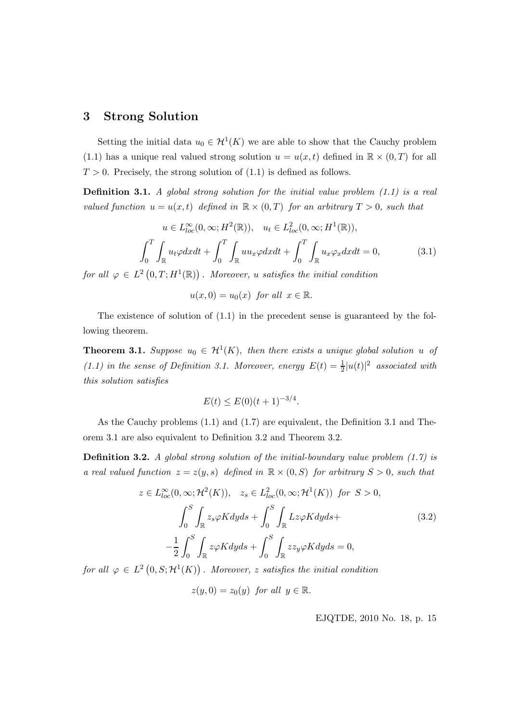## 3 Strong Solution

Setting the initial data  $u_0 \in H^1(K)$  we are able to show that the Cauchy problem (1.1) has a unique real valued strong solution  $u = u(x, t)$  defined in  $\mathbb{R} \times (0, T)$  for all  $T > 0$ . Precisely, the strong solution of (1.1) is defined as follows.

**Definition 3.1.** A global strong solution for the initial value problem  $(1.1)$  is a real valued function  $u = u(x,t)$  defined in  $\mathbb{R} \times (0,T)$  for an arbitrary  $T > 0$ , such that

$$
u \in L_{loc}^{\infty}(0, \infty; H^{2}(\mathbb{R})), \quad u_{t} \in L_{loc}^{2}(0, \infty; H^{1}(\mathbb{R})),
$$

$$
\int_{0}^{T} \int_{\mathbb{R}} u_{t} \varphi dxdt + \int_{0}^{T} \int_{\mathbb{R}} u u_{x} \varphi dxdt + \int_{0}^{T} \int_{\mathbb{R}} u_{x} \varphi_{x} dxdt = 0,
$$
(3.1)

for all  $\varphi \in L^2(0,T;H^1(\mathbb{R}))$ . Moreover, u satisfies the initial condition

$$
u(x,0) = u_0(x) \text{ for all } x \in \mathbb{R}.
$$

The existence of solution of  $(1.1)$  in the precedent sense is guaranteed by the following theorem.

**Theorem 3.1.** Suppose  $u_0 \in H^1(K)$ , then there exists a unique global solution u of (1.1) in the sense of Definition 3.1. Moreover, energy  $E(t) = \frac{1}{2}|u(t)|^2$  associated with this solution satisfies

$$
E(t) \le E(0)(t+1)^{-3/4}.
$$

As the Cauchy problems (1.1) and (1.7) are equivalent, the Definition 3.1 and Theorem 3.1 are also equivalent to Definition 3.2 and Theorem 3.2.

**Definition 3.2.** A global strong solution of the initial-boundary value problem  $(1.7)$  is a real valued function  $z = z(y, s)$  defined in  $\mathbb{R} \times (0, S)$  for arbitrary  $S > 0$ , such that

$$
z \in L_{loc}^{\infty}(0, \infty; \mathcal{H}^{2}(K)), \quad z_{s} \in L_{loc}^{2}(0, \infty; \mathcal{H}^{1}(K)) \quad \text{for } S > 0,
$$
\n
$$
\int_{0}^{S} \int_{\mathbb{R}} z_{s} \varphi K dy ds + \int_{0}^{S} \int_{\mathbb{R}} L z \varphi K dy ds +
$$
\n
$$
-\frac{1}{2} \int_{0}^{S} \int_{\mathbb{R}} z \varphi K dy ds + \int_{0}^{S} \int_{\mathbb{R}} z z_{y} \varphi K dy ds = 0,
$$
\n(3.2)

for all  $\varphi \in L^2(0,S;{\cal H}^1(K))$ . Moreover, z satisfies the initial condition

$$
z(y,0) = z_0(y) \text{ for all } y \in \mathbb{R}.
$$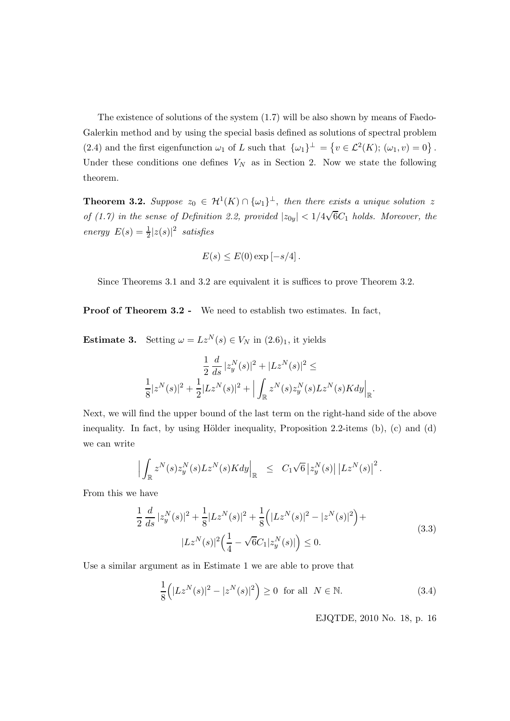The existence of solutions of the system (1.7) will be also shown by means of Faedo-Galerkin method and by using the special basis defined as solutions of spectral problem (2.4) and the first eigenfunction  $\omega_1$  of L such that  $\{\omega_1\}^{\perp} = \{v \in \mathcal{L}^2(K); (\omega_1, v) = 0\}$ . Under these conditions one defines  $V_N$  as in Section 2. Now we state the following theorem.

**Theorem 3.2.** Suppose  $z_0 \in H^1(K) \cap {\{\omega_1\}}^{\perp}$ , then there exists a unique solution z of (1.7) in the sense of Definition 2.2, provided  $|z_{0y}| < 1/4\sqrt{6}C_1$  holds. Moreover, the energy  $E(s) = \frac{1}{2}|z(s)|^2$  satisfies

$$
E(s) \le E(0) \exp[-s/4].
$$

Since Theorems 3.1 and 3.2 are equivalent it is suffices to prove Theorem 3.2.

Proof of Theorem 3.2 - We need to establish two estimates. In fact,

**Estimate 3.** Setting  $\omega = Lz^N(s) \in V_N$  in  $(2.6)_1$ , it yields

$$
\frac{1}{2}\frac{d}{ds}|z_y^N(s)|^2 + |Lz^N(s)|^2 \le
$$
  

$$
\frac{1}{8}|z^N(s)|^2 + \frac{1}{2}|Lz^N(s)|^2 + \Big| \int_{\mathbb{R}} z^N(s)z_y^N(s)Lz^N(s)Kdy \Big|_{\mathbb{R}}.
$$

Next, we will find the upper bound of the last term on the right-hand side of the above inequality. In fact, by using Hölder inequality, Proposition 2.2-items  $(b)$ ,  $(c)$  and  $(d)$ we can write

$$
\Big|\int_{\mathbb{R}}z^N(s)z^N_y(s)Lz^N(s)Kdy\Big|_{\mathbb{R}}\quad \leq\quad C_1\sqrt{6}\left|z^N_y(s)\right|\left|Lz^N(s)\right|^2.
$$

From this we have

$$
\frac{1}{2} \frac{d}{ds} |z_y^N(s)|^2 + \frac{1}{8} |Lz^N(s)|^2 + \frac{1}{8} (|Lz^N(s)|^2 - |z^N(s)|^2) +
$$
  

$$
|Lz^N(s)|^2 \left(\frac{1}{4} - \sqrt{6}C_1|z_y^N(s)|\right) \le 0.
$$
 (3.3)

Use a similar argument as in Estimate 1 we are able to prove that

$$
\frac{1}{8} \left( |Lz^N(s)|^2 - |z^N(s)|^2 \right) \ge 0 \quad \text{for all} \quad N \in \mathbb{N}.
$$
 (3.4)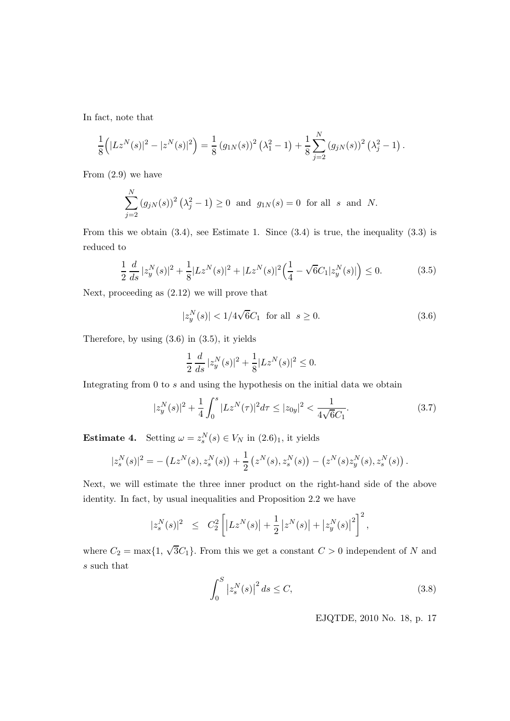In fact, note that

$$
\frac{1}{8} (|Lz^N(s)|^2 - |z^N(s)|^2) = \frac{1}{8} (g_{1N}(s))^2 (\lambda_1^2 - 1) + \frac{1}{8} \sum_{j=2}^N (g_{jN}(s))^2 (\lambda_j^2 - 1).
$$

From (2.9) we have

$$
\sum_{j=2}^{N} (g_{jN}(s))^2 (\lambda_j^2 - 1) \ge 0 \text{ and } g_{1N}(s) = 0 \text{ for all } s \text{ and } N.
$$

From this we obtain  $(3.4)$ , see Estimate 1. Since  $(3.4)$  is true, the inequality  $(3.3)$  is reduced to

$$
\frac{1}{2}\frac{d}{ds}|z_y^N(s)|^2 + \frac{1}{8}|Lz^N(s)|^2 + |Lz^N(s)|^2\left(\frac{1}{4} - \sqrt{6}C_1|z_y^N(s)|\right) \le 0.
$$
\n(3.5)

Next, proceeding as (2.12) we will prove that

$$
|z_y^N(s)| < 1/4\sqrt{6}C_1 \quad \text{for all} \quad s \ge 0. \tag{3.6}
$$

Therefore, by using (3.6) in (3.5), it yields

$$
\frac{1}{2} \frac{d}{ds} |z_y^N(s)|^2 + \frac{1}{8} |Lz^N(s)|^2 \le 0.
$$

Integrating from 0 to s and using the hypothesis on the initial data we obtain

$$
|z_y^N(s)|^2 + \frac{1}{4} \int_0^s |Lz^N(\tau)|^2 d\tau \le |z_{0y}|^2 < \frac{1}{4\sqrt{6}C_1}.
$$
 (3.7)

**Estimate 4.** Setting  $\omega = z_s^N(s) \in V_N$  in  $(2.6)_1$ , it yields

$$
|z_s^N(s)|^2 = -\left(Lz^N(s), z_s^N(s)\right) + \frac{1}{2}\left(z^N(s), z_s^N(s)\right) - \left(z^N(s)z_y^N(s), z_s^N(s)\right).
$$

Next, we will estimate the three inner product on the right-hand side of the above identity. In fact, by usual inequalities and Proposition 2.2 we have

$$
|z_s^N(s)|^2 \leq C_2^2 \left[ |L z^N(s)| + \frac{1}{2} |z^N(s)| + |z_y^N(s)|^2 \right]^2,
$$

where  $C_2 = \max\{1, \sqrt{3}C_1\}$ . From this we get a constant  $C > 0$  independent of N and s such that

$$
\int_{0}^{S} |z_{s}^{N}(s)|^{2} ds \le C,
$$
\n(3.8)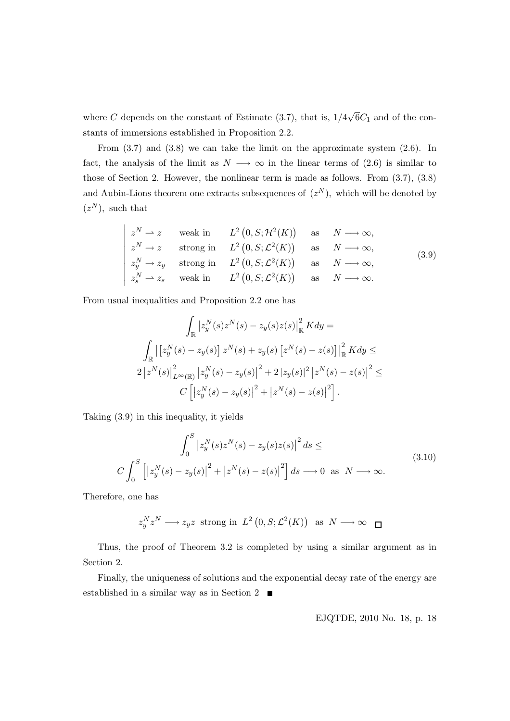where C depends on the constant of Estimate (3.7), that is,  $1/4\sqrt{6}C_1$  and of the constants of immersions established in Proposition 2.2.

From  $(3.7)$  and  $(3.8)$  we can take the limit on the approximate system  $(2.6)$ . In fact, the analysis of the limit as  $N \longrightarrow \infty$  in the linear terms of (2.6) is similar to those of Section 2. However, the nonlinear term is made as follows. From (3.7), (3.8) and Aubin-Lions theorem one extracts subsequences of  $(z^N)$ , which will be denoted by  $(z^N)$ , such that

$$
\begin{vmatrix}\nz^N \to z & \text{weak in} & L^2(0, S; \mathcal{H}^2(K)) & \text{as} & N \longrightarrow \infty, \\
z^N \to z & \text{strong in} & L^2(0, S; \mathcal{L}^2(K)) & \text{as} & N \longrightarrow \infty, \\
z_y^N \to z_y & \text{strong in} & L^2(0, S; \mathcal{L}^2(K)) & \text{as} & N \longrightarrow \infty, \\
z_s^N \to z_s & \text{weak in} & L^2(0, S; \mathcal{L}^2(K)) & \text{as} & N \longrightarrow \infty.\n\end{vmatrix} \tag{3.9}
$$

From usual inequalities and Proposition 2.2 one has

$$
\int_{\mathbb{R}} |z_{y}^{N}(s)z^{N}(s) - z_{y}(s)z(s)|_{\mathbb{R}}^{2} K dy =
$$
\n
$$
\int_{\mathbb{R}} |[z_{y}^{N}(s) - z_{y}(s)] z^{N}(s) + z_{y}(s) [z^{N}(s) - z(s)]|_{\mathbb{R}}^{2} K dy \le
$$
\n
$$
2 |z^{N}(s)|_{L^{\infty}(\mathbb{R})}^{2} |z_{y}^{N}(s) - z_{y}(s)|^{2} + 2 |z_{y}(s)|^{2} |z^{N}(s) - z(s)|^{2} \le
$$
\n
$$
C [|z_{y}^{N}(s) - z_{y}(s)|^{2} + |z^{N}(s) - z(s)|^{2}].
$$

Taking (3.9) in this inequality, it yields

$$
\int_{0}^{S} |z_{y}^{N}(s)z^{N}(s) - z_{y}(s)z(s)|^{2} ds \le
$$
\n
$$
C \int_{0}^{S} \left[ |z_{y}^{N}(s) - z_{y}(s)|^{2} + |z^{N}(s) - z(s)|^{2} \right] ds \longrightarrow 0 \text{ as } N \longrightarrow \infty.
$$
\n(3.10)

Therefore, one has

$$
z_y^N z^N \longrightarrow z_y z
$$
 strong in  $L^2(0, S; \mathcal{L}^2(K))$  as  $N \longrightarrow \infty$ 

Thus, the proof of Theorem 3.2 is completed by using a similar argument as in Section 2.

Finally, the uniqueness of solutions and the exponential decay rate of the energy are established in a similar way as in Section 2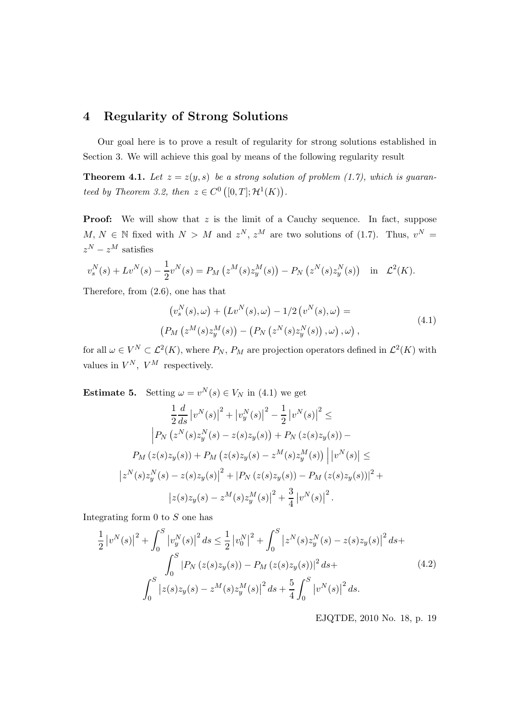## 4 Regularity of Strong Solutions

Our goal here is to prove a result of regularity for strong solutions established in Section 3. We will achieve this goal by means of the following regularity result

**Theorem 4.1.** Let  $z = z(y, s)$  be a strong solution of problem (1.7), which is guaranteed by Theorem 3.2, then  $z \in C^0([0,T]; \mathcal{H}^1(K))$ .

**Proof:** We will show that  $z$  is the limit of a Cauchy sequence. In fact, suppose  $M, N \in \mathbb{N}$  fixed with  $N > M$  and  $z^N, z^M$  are two solutions of (1.7). Thus,  $v^N =$  $z^N - z^M$  satisfies

$$
v_s^N(s) + Lv^N(s) - \frac{1}{2}v^N(s) = P_M(z^M(s)z_y^M(s)) - P_N(z^N(s)z_y^N(s)) \text{ in } \mathcal{L}^2(K).
$$

Therefore, from (2.6), one has that

$$
(v_s^N(s), \omega) + (Lv^N(s), \omega) - 1/2 (v^N(s), \omega) =
$$
  
\n
$$
(P_M (z^M(s)z_y^M(s)) - (P_N (z^N(s)z_y^N(s)), \omega), \omega),
$$
\n(4.1)

for all  $\omega \in V^N \subset \mathcal{L}^2(K)$ , where  $P_N$ ,  $P_M$  are projection operators defined in  $\mathcal{L}^2(K)$  with values in  $V^N$ ,  $V^M$  respectively.

**Estimate 5.** Setting  $\omega = v^N(s) \in V_N$  in (4.1) we get

$$
\frac{1}{2}\frac{d}{ds}|v^N(s)|^2 + |v_y^N(s)|^2 - \frac{1}{2}|v^N(s)|^2 \le
$$
  

$$
\left|P_N(z^N(s)z_y^N(s) - z(s)z_y(s)) + P_N(z(s)z_y(s)) - P_M(z(s)z_y(s))\right| + P_M(z(s)z_y(s) - z^M(s)z_y^M(s))|v^N(s)| \le
$$
  

$$
|z^N(s)z_y^N(s) - z(s)z_y(s)|^2 + |P_N(z(s)z_y(s)) - P_M(z(s)z_y(s))|^2 + |z(s)z_y(s) - z^M(s)z_y^M(s)|^2 + \frac{3}{4}|v^N(s)|^2.
$$

Integrating form 0 to S one has

$$
\frac{1}{2} |v^N(s)|^2 + \int_0^S |v_y^N(s)|^2 ds \le \frac{1}{2} |v_0^N|^2 + \int_0^S |z^N(s)z_y^N(s) - z(s)z_y(s)|^2 ds + \int_0^S |P_N(z(s)z_y(s)) - P_M(z(s)z_y(s))|^2 ds + \int_0^S |z(s)z_y(s) - z^M(s)z_y^M(s)|^2 ds + \frac{5}{4} \int_0^S |v^N(s)|^2 ds.
$$
\n(4.2)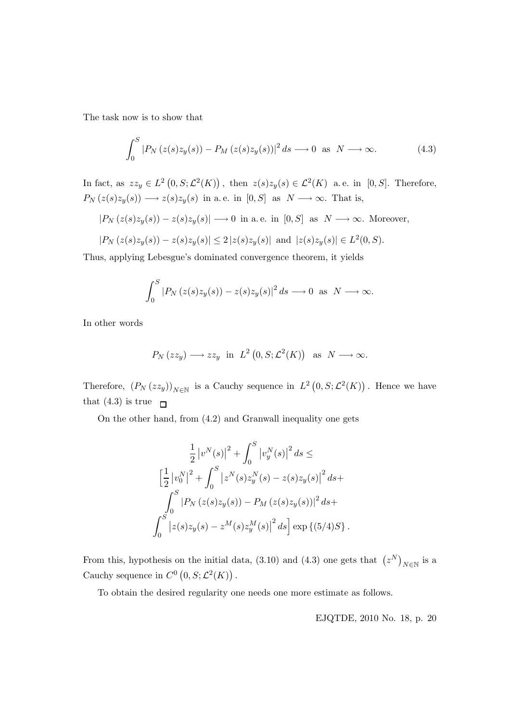The task now is to show that

$$
\int_0^S |P_N(z(s)z_y(s)) - P_M(z(s)z_y(s))|^2 ds \longrightarrow 0 \text{ as } N \longrightarrow \infty.
$$
 (4.3)

In fact, as  $zz_y \in L^2(0, S; \mathcal{L}^2(K))$ , then  $z(s)z_y(s) \in \mathcal{L}^2(K)$  a.e. in [0, S]. Therefore,  $P_N(z(s)z_y(s)) \longrightarrow z(s)z_y(s)$  in a.e. in  $[0, S]$  as  $N \longrightarrow \infty$ . That is,

$$
|P_N(z(s)z_y(s)) - z(s)z_y(s)| \longrightarrow 0
$$
 in a.e. in [0, S] as  $N \longrightarrow \infty$ . Moreover,

$$
|P_N(z(s)z_y(s)) - z(s)z_y(s)| \leq 2 |z(s)z_y(s)|
$$
 and  $|z(s)z_y(s)| \in L^2(0, S)$ .

Thus, applying Lebesgue's dominated convergence theorem, it yields

$$
\int_0^S |P_N(z(s)z_y(s)) - z(s)z_y(s)|^2 ds \longrightarrow 0 \text{ as } N \longrightarrow \infty.
$$

In other words

$$
P_N(zz_y) \longrightarrow zz_y
$$
 in  $L^2(0, S; \mathcal{L}^2(K))$  as  $N \longrightarrow \infty$ .

Therefore,  $(P_N(zz_y))_{N \in \mathbb{N}}$  is a Cauchy sequence in  $L^2(0, S; \mathcal{L}^2(K))$ . Hence we have that (4.3) is true  $\Box$ 

On the other hand, from (4.2) and Granwall inequality one gets

$$
\frac{1}{2} |v^N(s)|^2 + \int_0^S |v_y^N(s)|^2 ds \le
$$
  

$$
\left[\frac{1}{2} |v_0^N|^2 + \int_0^S |z^N(s)z_y^N(s) - z(s)z_y(s)|^2 ds + \int_0^S |P_N(z(s)z_y(s)) - P_M(z(s)z_y(s))|^2 ds + \int_0^S |z(s)z_y(s) - z^M(s)z_y^M(s)|^2 ds \right] \exp \left\{ (5/4)S \right\}.
$$

From this, hypothesis on the initial data, (3.10) and (4.3) one gets that  $(z^N)_{N\in\mathbb{N}}$  is a Cauchy sequence in  $C^0(0, S; \mathcal{L}^2(K))$ .

To obtain the desired regularity one needs one more estimate as follows.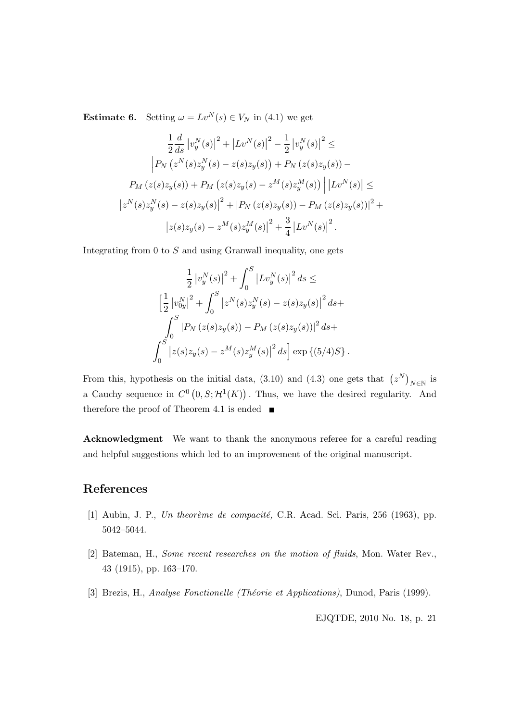**Estimate 6.** Setting  $\omega = Lv^N(s) \in V_N$  in (4.1) we get

$$
\frac{1}{2}\frac{d}{ds} |v_y^N(s)|^2 + |Lv^N(s)|^2 - \frac{1}{2}|v_y^N(s)|^2 \le
$$
  

$$
\left| P_N(z^N(s)z_y^N(s) - z(s)z_y(s)) + P_N(z(s)z_y(s)) - P_M(z(s)z_y(s)) + P_M(z(s)z_y(s) - z^M(s)z_y^M(s)) \right| |Lv^N(s)| \le
$$
  

$$
|z^N(s)z_y^N(s) - z(s)z_y(s)|^2 + |P_N(z(s)z_y(s)) - P_M(z(s)z_y(s))|^2 + |z(s)z_y(s) - z^M(s)z_y^M(s)|^2 + \frac{3}{4}|Lv^N(s)|^2.
$$

Integrating from  $0$  to  $S$  and using Granwall inequality, one gets

$$
\frac{1}{2} |v_y^N(s)|^2 + \int_0^S |Lv_y^N(s)|^2 ds \le
$$
  

$$
\left[\frac{1}{2} |v_{0y}^N|^2 + \int_0^S |z^N(s)z_y^N(s) - z(s)z_y(s)|^2 ds +
$$
  

$$
\int_0^S |P_N(z(s)z_y(s)) - P_M(z(s)z_y(s))|^2 ds +
$$
  

$$
\int_0^S |z(s)z_y(s) - z^M(s)z_y^M(s)|^2 ds \right] \exp \{(5/4)S\}.
$$

From this, hypothesis on the initial data, (3.10) and (4.3) one gets that  $(z^N)_{N\in\mathbb{N}}$  is a Cauchy sequence in  $C^0(0,S;\mathcal{H}^1(K))$ . Thus, we have the desired regularity. And therefore the proof of Theorem 4.1 is ended  $\blacksquare$ 

Acknowledgment We want to thank the anonymous referee for a careful reading and helpful suggestions which led to an improvement of the original manuscript.

# References

- [1] Aubin, J. P., Un theorème de compacité, C.R. Acad. Sci. Paris, 256 (1963), pp. 5042–5044.
- [2] Bateman, H., Some recent researches on the motion of fluids, Mon. Water Rev., 43 (1915), pp. 163–170.
- [3] Brezis, H., Analyse Fonctionelle (Théorie et Applications), Dunod, Paris (1999).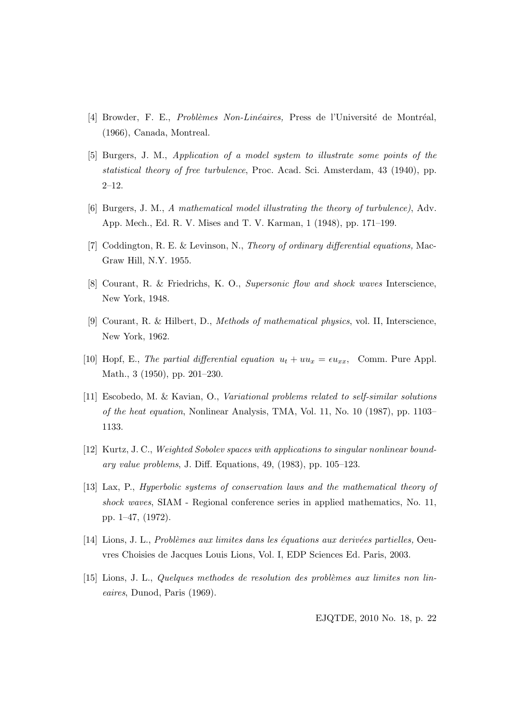- [4] Browder, F. E., *Problèmes Non-Linéaires*, Press de l'Université de Montréal, (1966), Canada, Montreal.
- [5] Burgers, J. M., Application of a model system to illustrate some points of the statistical theory of free turbulence, Proc. Acad. Sci. Amsterdam, 43 (1940), pp. 2–12.
- [6] Burgers, J. M., A mathematical model illustrating the theory of turbulence), Adv. App. Mech., Ed. R. V. Mises and T. V. Karman, 1 (1948), pp. 171–199.
- [7] Coddington, R. E. & Levinson, N., Theory of ordinary differential equations, Mac-Graw Hill, N.Y. 1955.
- [8] Courant, R. & Friedrichs, K. O., Supersonic flow and shock waves Interscience, New York, 1948.
- [9] Courant, R. & Hilbert, D., Methods of mathematical physics, vol. II, Interscience, New York, 1962.
- [10] Hopf, E., The partial differential equation  $u_t + uu_x = \epsilon u_{xx}$ , Comm. Pure Appl. Math., 3 (1950), pp. 201–230.
- [11] Escobedo, M. & Kavian, O., Variational problems related to self-similar solutions of the heat equation, Nonlinear Analysis, TMA, Vol. 11, No. 10 (1987), pp. 1103– 1133.
- [12] Kurtz, J. C., Weighted Sobolev spaces with applications to singular nonlinear boundary value problems, J. Diff. Equations, 49, (1983), pp. 105–123.
- [13] Lax, P., Hyperbolic systems of conservation laws and the mathematical theory of shock waves, SIAM - Regional conference series in applied mathematics, No. 11, pp. 1–47, (1972).
- $[14]$  Lions, J. L., Problèmes aux limites dans les équations aux derivées partielles, Oeuvres Choisies de Jacques Louis Lions, Vol. I, EDP Sciences Ed. Paris, 2003.
- [15] Lions, J. L., Quelques methodes de resolution des problèmes aux limites non lineaires, Dunod, Paris (1969).